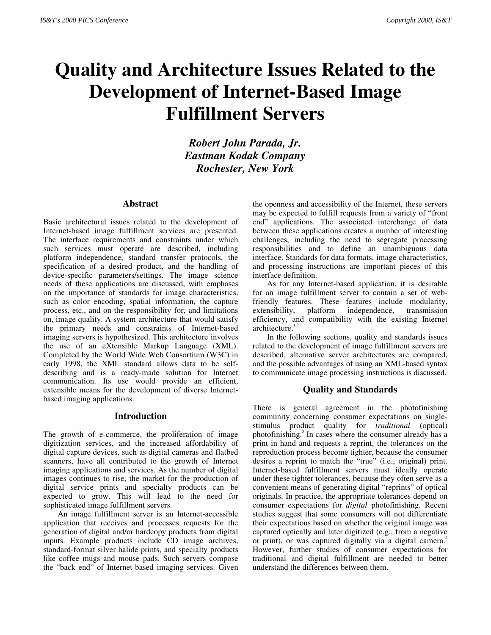# **Quality and Architecture Issues Related to the Development of Internet-Based Image Fulfillment Servers**

*Robert John Parada, Jr. Eastman Kodak Company Rochester, New York*

### **Abstract**

Basic architectural issues related to the development of Internet-based image fulfillment services are presented. The interface requirements and constraints under which such services must operate are described, including platform independence, standard transfer protocols, the specification of a desired product, and the handling of device-specific parameters/settings. The image science needs of these applications are discussed, with emphases on the importance of standards for image characteristics, such as color encoding, spatial information, the capture process, etc., and on the responsibility for, and limitations on, image quality. A system architecture that would satisfy the primary needs and constraints of Internet-based imaging servers is hypothesized. This architecture involves the use of an eXtensible Markup Language (XML). Completed by the World Wide Web Consortium (W3C) in early 1998, the XML standard allows data to be selfdescribing and is a ready-made solution for Internet communication. Its use would provide an efficient, extensible means for the development of diverse Internetbased imaging applications.

## **Introduction**

The growth of e-commerce, the proliferation of image digitization services, and the increased affordability of digital capture devices, such as digital cameras and flatbed scanners, have all contributed to the growth of Internet imaging applications and services. As the number of digital images continues to rise, the market for the production of digital service prints and specialty products can be expected to grow. This will lead to the need for sophisticated image fulfillment servers.

An image fulfillment server is an Internet-accessible application that receives and processes requests for the generation of digital and/or hardcopy products from digital inputs. Example products include CD image archives, standard-format silver halide prints, and specialty products like coffee mugs and mouse pads. Such servers compose the "back end" of Internet-based imaging services. Given

the openness and accessibility of the Internet, these servers may be expected to fulfill requests from a variety of "front end" applications. The associated interchange of data between these applications creates a number of interesting challenges, including the need to segregate processing responsibilities and to define an unambiguous data interface. Standards for data formats, image characteristics, and processing instructions are important pieces of this interface definition.

As for any Internet-based application, it is desirable for an image fulfillment server to contain a set of webfriendly features. These features include modularity, extensibility, platform independence, transmission efficiency, and compatibility with the existing Internet architecture. $1,2$ 

In the following sections, quality and standards issues related to the development of image fulfillment servers are described, alternative server architectures are compared, and the possible advantages of using an XML-based syntax to communicate image processing instructions is discussed.

# **Quality and Standards**

There is general agreement in the photofinishing community concerning consumer expectations on singlestimulus product quality for *traditional* (optical) photofinishing.<sup>3</sup> In cases where the consumer already has a print in hand and requests a reprint, the tolerances on the reproduction process become tighter, because the consumer desires a reprint to match the "true" (i.e., original) print. Internet-based fulfillment servers must ideally operate under these tighter tolerances, because they often serve as a convenient means of generating digital "reprints" of optical originals. In practice, the appropriate tolerances depend on consumer expectations for *digital* photofinishing. Recent studies suggest that some consumers will not differentiate their expectations based on whether the original image was captured optically and later digitized (e.g., from a negative or print), or was captured digitally via a digital camera.<sup>4</sup> However, further studies of consumer expectations for traditional and digital fulfillment are needed to better understand the differences between them.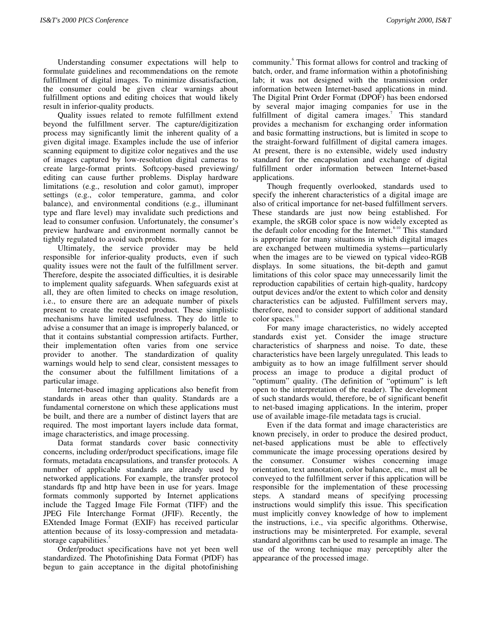Understanding consumer expectations will help to formulate guidelines and recommendations on the remote fulfillment of digital images. To minimize dissatisfaction, the consumer could be given clear warnings about fulfillment options and editing choices that would likely result in inferior-quality products.

Quality issues related to remote fulfillment extend beyond the fulfillment server. The capture/digitization process may significantly limit the inherent quality of a given digital image. Examples include the use of inferior scanning equipment to digitize color negatives and the use of images captured by low-resolution digital cameras to create large-format prints. Softcopy-based previewing/ editing can cause further problems. Display hardware limitations (e.g., resolution and color gamut), improper settings (e.g., color temperature, gamma, and color balance), and environmental conditions (e.g., illuminant type and flare level) may invalidate such predictions and lead to consumer confusion. Unfortunately, the consumer's preview hardware and environment normally cannot be tightly regulated to avoid such problems.

Ultimately, the service provider may be held responsible for inferior-quality products, even if such quality issues were not the fault of the fulfillment server. Therefore, despite the associated difficulties, it is desirable to implement quality safeguards. When safeguards exist at all, they are often limited to checks on image resolution, i.e., to ensure there are an adequate number of pixels present to create the requested product. These simplistic mechanisms have limited usefulness. They do little to advise a consumer that an image is improperly balanced, or that it contains substantial compression artifacts. Further, their implementation often varies from one service provider to another. The standardization of quality warnings would help to send clear, consistent messages to the consumer about the fulfillment limitations of a particular image.

Internet-based imaging applications also benefit from standards in areas other than quality. Standards are a fundamental cornerstone on which these applications must be built, and there are a number of distinct layers that are required. The most important layers include data format, image characteristics, and image processing.

Data format standards cover basic connectivity concerns, including order/product specifications, image file formats, metadata encapsulations, and transfer protocols. A number of applicable standards are already used by networked applications. For example, the transfer protocol standards ftp and http have been in use for years. Image formats commonly supported by Internet applications include the Tagged Image File Format (TIFF) and the JPEG File Interchange Format (JFIF). Recently, the EXtended Image Format (EXIF) has received particular attention because of its lossy-compression and metadatastorage capabilities.<sup>3</sup>

Order/product specifications have not yet been well standardized. The Photofinishing Data Format (PfDF) has begun to gain acceptance in the digital photofinishing

community.<sup>6</sup> This format allows for control and tracking of batch, order, and frame information within a photofinishing lab; it was not designed with the transmission order information between Internet-based applications in mind. The Digital Print Order Format (DPOF) has been endorsed by several major imaging companies for use in the fulfillment of digital camera images.<sup>7</sup> This standard provides a mechanism for exchanging order information and basic formatting instructions, but is limited in scope to the straight-forward fulfillment of digital camera images. At present, there is no extensible, widely used industry standard for the encapsulation and exchange of digital fulfillment order information between Internet-based applications.

Though frequently overlooked, standards used to specify the inherent characteristics of a digital image are also of critical importance for net-based fulfillment servers. These standards are just now being established. For example, the sRGB color space is now widely excepted as the default color encoding for the Internet.<sup>8-10</sup> This standard is appropriate for many situations in which digital images are exchanged between multimedia systems—particularly when the images are to be viewed on typical video-RGB displays. In some situations, the bit-depth and gamut limitations of this color space may unnecessarily limit the reproduction capabilities of certain high-quality, hardcopy output devices and/or the extent to which color and density characteristics can be adjusted. Fulfillment servers may, therefore, need to consider support of additional standard color spaces.<sup>11</sup>

For many image characteristics, no widely accepted standards exist yet. Consider the image structure characteristics of sharpness and noise. To date, these characteristics have been largely unregulated. This leads to ambiguity as to how an image fulfillment server should process an image to produce a digital product of "optimum" quality. (The definition of "optimum" is left open to the interpretation of the reader). The development of such standards would, therefore, be of significant benefit to net-based imaging applications. In the interim, proper use of available image-file metadata tags is crucial.

Even if the data format and image characteristics are known precisely, in order to produce the desired product, net-based applications must be able to effectively communicate the image processing operations desired by the consumer. Consumer wishes concerning image orientation, text annotation, color balance, etc., must all be conveyed to the fulfillment server if this application will be responsible for the implementation of these processing steps. A standard means of specifying processing instructions would simplify this issue. This specification must implicitly convey knowledge of how to implement the instructions, i.e., via specific algorithms. Otherwise, instructions may be misinterpreted. For example, several standard algorithms can be used to resample an image. The use of the wrong technique may perceptibly alter the appearance of the processed image.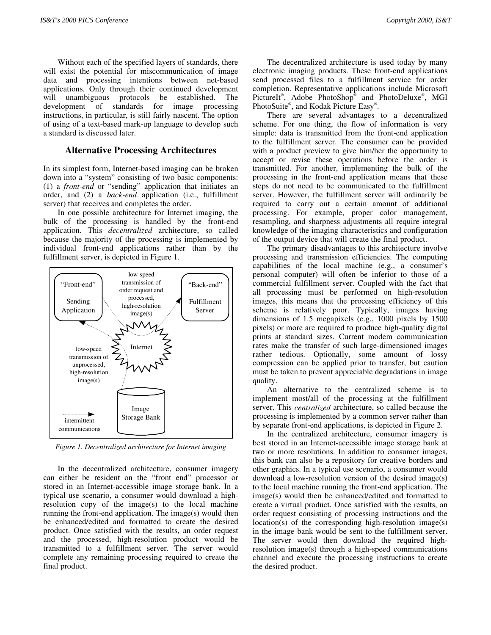Without each of the specified layers of standards, there will exist the potential for miscommunication of image data and processing intentions between net-based applications. Only through their continued development will unambiguous protocols be established. The development of standards for image processing instructions, in particular, is still fairly nascent. The option of using of a text-based mark-up language to develop such a standard is discussed later.

#### **Alternative Processing Architectures**

In its simplest form, Internet-based imaging can be broken down into a "system" consisting of two basic components: (1) a *front-end* or "sending" application that initiates an order, and (2) a *back-end* application (i.e., fulfillment server) that receives and completes the order.

In one possible architecture for Internet imaging, the bulk of the processing is handled by the front-end application. This *decentralized* architecture, so called because the majority of the processing is implemented by individual front-end applications rather than by the fulfillment server, is depicted in Figure 1.



*Figure 1. Decentralized architecture for Internet imaging*

In the decentralized architecture, consumer imagery can either be resident on the "front end" processor or stored in an Internet-accessible image storage bank. In a typical use scenario, a consumer would download a highresolution copy of the image(s) to the local machine running the front-end application. The image(s) would then be enhanced/edited and formatted to create the desired product. Once satisfied with the results, an order request and the processed, high-resolution product would be transmitted to a fulfillment server. The server would complete any remaining processing required to create the final product.

The decentralized architecture is used today by many electronic imaging products. These front-end applications send processed files to a fulfillment service for order completion. Representative applications include Microsoft PictureIt<sup>®</sup>, Adobe PhotoShop<sup>®</sup> and PhotoDeluxe<sup>®</sup>, MGI PhotoSuite®, and Kodak Picture Easy®.

There are several advantages to a decentralized scheme. For one thing, the flow of information is very simple: data is transmitted from the front-end application to the fulfillment server. The consumer can be provided with a product preview to give him/her the opportunity to accept or revise these operations before the order is transmitted. For another, implementing the bulk of the processing in the front-end application means that these steps do not need to be communicated to the fulfillment server. However, the fulfillment server will ordinarily be required to carry out a certain amount of additional processing. For example, proper color management, resampling, and sharpness adjustments all require integral knowledge of the imaging characteristics and configuration of the output device that will create the final product.

The primary disadvantages to this architecture involve processing and transmission efficiencies. The computing capabilities of the local machine (e.g., a consumer's personal computer) will often be inferior to those of a commercial fulfillment server. Coupled with the fact that all processing must be performed on high-resolution images, this means that the processing efficiency of this scheme is relatively poor. Typically, images having dimensions of 1.5 megapixels (e.g., 1000 pixels by 1500 pixels) or more are required to produce high-quality digital prints at standard sizes. Current modem communication rates make the transfer of such large-dimensioned images rather tedious. Optionally, some amount of lossy compression can be applied prior to transfer, but caution must be taken to prevent appreciable degradations in image quality.

An alternative to the centralized scheme is to implement most/all of the processing at the fulfillment server. This *centralized* architecture, so called because the processing is implemented by a common server rather than by separate front-end applications, is depicted in Figure 2.

In the centralized architecture, consumer imagery is best stored in an Internet-accessible image storage bank at two or more resolutions. In addition to consumer images, this bank can also be a repository for creative borders and other graphics. In a typical use scenario, a consumer would download a low-resolution version of the desired image(s) to the local machine running the front-end application. The image(s) would then be enhanced/edited and formatted to create a virtual product. Once satisfied with the results, an order request consisting of processing instructions and the location(s) of the corresponding high-resolution image(s) in the image bank would be sent to the fulfillment server. The server would then download the required highresolution image(s) through a high-speed communications channel and execute the processing instructions to create the desired product.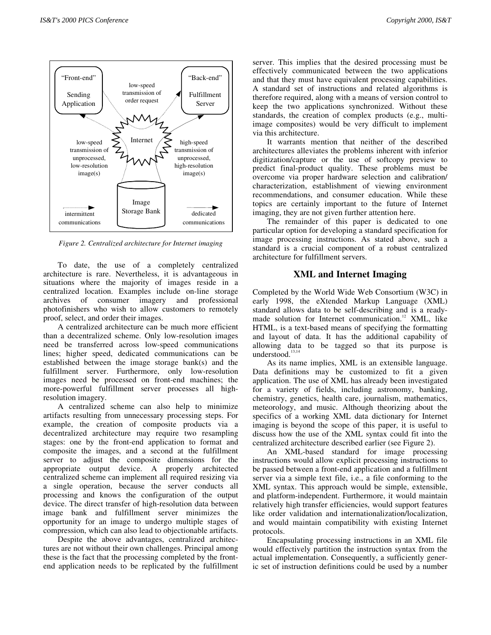

*Figure 2. Centralized architecture for Internet imaging*

To date, the use of a completely centralized architecture is rare. Nevertheless, it is advantageous in situations where the majority of images reside in a centralized location. Examples include on-line storage archives of consumer imagery and professional photofinishers who wish to allow customers to remotely proof, select, and order their images.

A centralized architecture can be much more efficient than a decentralized scheme. Only low-resolution images need be transferred across low-speed communications lines; higher speed, dedicated communications can be established between the image storage bank(s) and the fulfillment server. Furthermore, only low-resolution images need be processed on front-end machines; the more-powerful fulfillment server processes all highresolution imagery.

A centralized scheme can also help to minimize artifacts resulting from unnecessary processing steps. For example, the creation of composite products via a decentralized architecture may require two resampling stages: one by the front-end application to format and composite the images, and a second at the fulfillment server to adjust the composite dimensions for the appropriate output device. A properly architected centralized scheme can implement all required resizing via a single operation, because the server conducts all processing and knows the configuration of the output device. The direct transfer of high-resolution data between image bank and fulfillment server minimizes the opportunity for an image to undergo multiple stages of compression, which can also lead to objectionable artifacts.

Despite the above advantages, centralized architectures are not without their own challenges. Principal among these is the fact that the processing completed by the frontend application needs to be replicated by the fulfillment

server. This implies that the desired processing must be effectively communicated between the two applications and that they must have equivalent processing capabilities. A standard set of instructions and related algorithms is therefore required, along with a means of version control to keep the two applications synchronized. Without these standards, the creation of complex products (e.g., multiimage composites) would be very difficult to implement via this architecture.

It warrants mention that neither of the described architectures alleviates the problems inherent with inferior digitization/capture or the use of softcopy preview to predict final-product quality. These problems must be overcome via proper hardware selection and calibration/ characterization, establishment of viewing environment recommendations, and consumer education. While these topics are certainly important to the future of Internet imaging, they are not given further attention here.

The remainder of this paper is dedicated to one particular option for developing a standard specification for image processing instructions. As stated above, such a standard is a crucial component of a robust centralized architecture for fulfillment servers.

## **XML and Internet Imaging**

Completed by the World Wide Web Consortium (W3C) in early 1998, the eXtended Markup Language (XML) standard allows data to be self-describing and is a readymade solution for Internet communication.<sup>12</sup> XML, like HTML, is a text-based means of specifying the formatting and layout of data. It has the additional capability of allowing data to be tagged so that its purpose is understood. $13,14$ 

As its name implies, XML is an extensible language. Data definitions may be customized to fit a given application. The use of XML has already been investigated for a variety of fields, including astronomy, banking, chemistry, genetics, health care, journalism, mathematics, meteorology, and music. Although theorizing about the specifics of a working XML data dictionary for Internet imaging is beyond the scope of this paper, it is useful to discuss how the use of the XML syntax could fit into the centralized architecture described earlier (see Figure 2).

An XML-based standard for image processing instructions would allow explicit processing instructions to be passed between a front-end application and a fulfillment server via a simple text file, i.e., a file conforming to the XML syntax. This approach would be simple, extensible, and platform-independent. Furthermore, it would maintain relatively high transfer efficiencies, would support features like order validation and internationalization/localization, and would maintain compatibility with existing Internet protocols.

Encapsulating processing instructions in an XML file would effectively partition the instruction syntax from the actual implementation. Consequently, a sufficiently generic set of instruction definitions could be used by a number